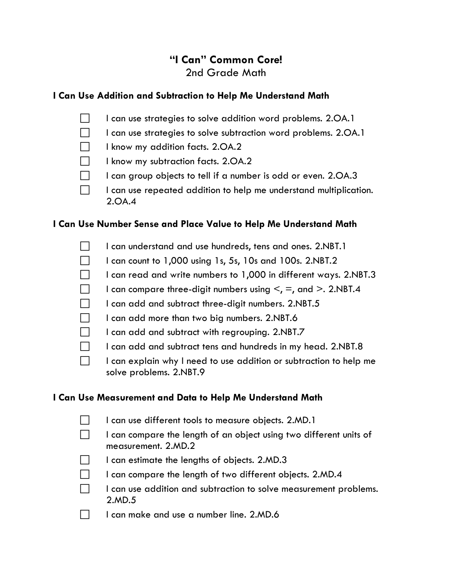# **"I Can" Common Core!** 2nd Grade Math

## **I Can Use Addition and Subtraction to Help Me Understand Math**

- $\Box$  I can use strategies to solve addition word problems. 2.OA.1
- $\Box$  I can use strategies to solve subtraction word problems. 2.OA.1
- $\Box$  I know my addition facts. 2.0A.2
- $\Box$  I know my subtraction facts. 2.0A.2
- $\Box$  I can group objects to tell if a number is odd or even. 2.0A.3
- $\Box$  I can use repeated addition to help me understand multiplication. 2.OA.4

### **I Can Use Number Sense and Place Value to Help Me Understand Math**

- I can understand and use hundreds, tens and ones. 2.NBT.1
- $\Box$  I can count to 1,000 using 1s, 5s, 10s and 100s. 2.NBT.2
- $\Box$  I can read and write numbers to 1,000 in different ways. 2.NBT.3
- I can compare three-digit numbers using  $\leq$ ,  $\equiv$ , and  $\geq$ . 2.NBT.4
- $\Box$  I can add and subtract three-digit numbers. 2.NBT.5
- $\Box$  I can add more than two big numbers. 2.NBT.6
- $\Box$  I can add and subtract with regrouping. 2.NBT.7
- $\Box$  I can add and subtract tens and hundreds in my head. 2.NBT.8
- $\Box$  I can explain why I need to use addition or subtraction to help me solve problems. 2.NBT.9

#### **I Can Use Measurement and Data to Help Me Understand Math**

- $\Box$  I can use different tools to measure objects. 2.MD.1
- $\Box$  I can compare the length of an object using two different units of measurement. 2.MD.2
- $\Box$  I can estimate the lengths of objects. 2.MD.3
- $\Box$  I can compare the length of two different objects. 2.MD.4
- $\Box$  I can use addition and subtraction to solve measurement problems. 2.MD.5
- $\Box$  I can make and use a number line. 2.MD.6